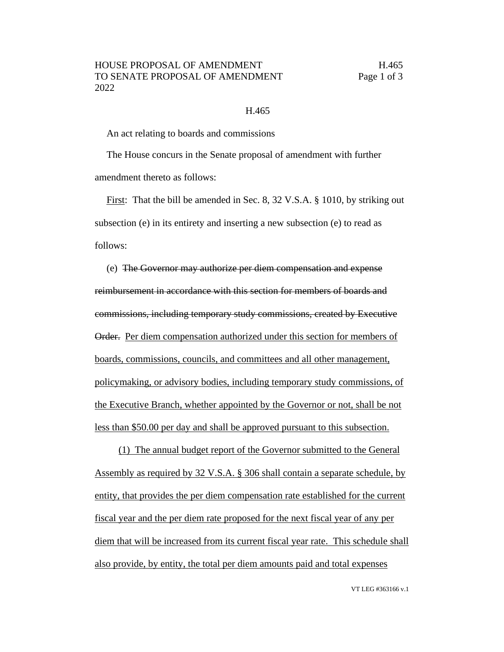## H.465

An act relating to boards and commissions

The House concurs in the Senate proposal of amendment with further amendment thereto as follows:

First: That the bill be amended in Sec. 8, 32 V.S.A. § 1010, by striking out subsection (e) in its entirety and inserting a new subsection (e) to read as follows:

(e) The Governor may authorize per diem compensation and expense reimbursement in accordance with this section for members of boards and commissions, including temporary study commissions, created by Executive Order. Per diem compensation authorized under this section for members of boards, commissions, councils, and committees and all other management, policymaking, or advisory bodies, including temporary study commissions, of the Executive Branch, whether appointed by the Governor or not, shall be not less than \$50.00 per day and shall be approved pursuant to this subsection.

(1) The annual budget report of the Governor submitted to the General Assembly as required by 32 V.S.A. § 306 shall contain a separate schedule, by entity, that provides the per diem compensation rate established for the current fiscal year and the per diem rate proposed for the next fiscal year of any per diem that will be increased from its current fiscal year rate. This schedule shall also provide, by entity, the total per diem amounts paid and total expenses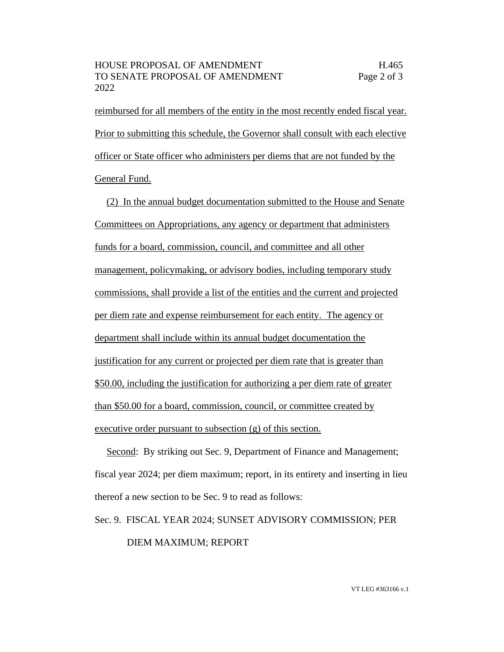reimbursed for all members of the entity in the most recently ended fiscal year. Prior to submitting this schedule, the Governor shall consult with each elective officer or State officer who administers per diems that are not funded by the General Fund.

(2) In the annual budget documentation submitted to the House and Senate Committees on Appropriations, any agency or department that administers funds for a board, commission, council, and committee and all other management, policymaking, or advisory bodies, including temporary study commissions, shall provide a list of the entities and the current and projected per diem rate and expense reimbursement for each entity. The agency or department shall include within its annual budget documentation the justification for any current or projected per diem rate that is greater than \$50.00, including the justification for authorizing a per diem rate of greater than \$50.00 for a board, commission, council, or committee created by executive order pursuant to subsection (g) of this section.

Second: By striking out Sec. 9, Department of Finance and Management; fiscal year 2024; per diem maximum; report, in its entirety and inserting in lieu thereof a new section to be Sec. 9 to read as follows:

Sec. 9. FISCAL YEAR 2024; SUNSET ADVISORY COMMISSION; PER DIEM MAXIMUM; REPORT